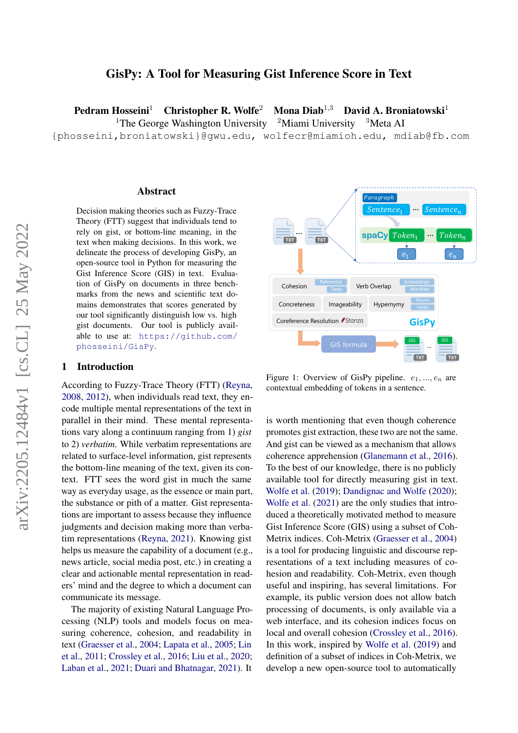# GisPy: A Tool for Measuring Gist Inference Score in Text

<span id="page-0-0"></span>Pedram Hosseini<sup>1</sup> Christopher R. Wolfe<sup>2</sup> Mona Diab<sup>1,3</sup> David A. Broniatowski<sup>1</sup>

<sup>1</sup>The George Washington University <sup>2</sup>Miami University <sup>3</sup>Meta AI

{phosseini,broniatowski}@gwu.edu, wolfecr@miamioh.edu, mdiab@fb.com

#### Abstract

Decision making theories such as Fuzzy-Trace Theory (FTT) suggest that individuals tend to rely on gist, or bottom-line meaning, in the text when making decisions. In this work, we delineate the process of developing GisPy, an open-source tool in Python for measuring the Gist Inference Score (GIS) in text. Evaluation of GisPy on documents in three benchmarks from the news and scientific text domains demonstrates that scores generated by our tool significantly distinguish low vs. high gist documents. Our tool is publicly available to use at: [https://github.com/](https://github.com/phosseini/GisPy) [phosseini/GisPy](https://github.com/phosseini/GisPy).

#### 1 Introduction

According to Fuzzy-Trace Theory (FTT) [\(Reyna,](#page-8-0) [2008,](#page-8-0) [2012\)](#page-8-1), when individuals read text, they encode multiple mental representations of the text in parallel in their mind. These mental representations vary along a continuum ranging from 1) *gist* to 2) *verbatim*. While verbatim representations are related to surface-level information, gist represents the bottom-line meaning of the text, given its context. FTT sees the word gist in much the same way as everyday usage, as the essence or main part, the substance or pith of a matter. Gist representations are important to assess because they influence judgments and decision making more than verbatim representations [\(Reyna,](#page-8-2) [2021\)](#page-8-2). Knowing gist helps us measure the capability of a document (e.g., news article, social media post, etc.) in creating a clear and actionable mental representation in readers' mind and the degree to which a document can communicate its message.

The majority of existing Natural Language Processing (NLP) tools and models focus on measuring coherence, cohesion, and readability in text [\(Graesser et al.,](#page-8-3) [2004;](#page-8-3) [Lapata et al.,](#page-8-4) [2005;](#page-8-4) [Lin](#page-8-5) [et al.,](#page-8-5) [2011;](#page-8-5) [Crossley et al.,](#page-8-6) [2016;](#page-8-6) [Liu et al.,](#page-8-7) [2020;](#page-8-7) [Laban et al.,](#page-8-8) [2021;](#page-8-8) [Duari and Bhatnagar,](#page-8-9) [2021\)](#page-8-9). It



Figure 1: Overview of GisPy pipeline.  $e_1, ..., e_n$  are contextual embedding of tokens in a sentence.

is worth mentioning that even though coherence promotes gist extraction, these two are not the same. And gist can be viewed as a mechanism that allows coherence apprehension [\(Glanemann et al.,](#page-8-10) [2016\)](#page-8-10). To the best of our knowledge, there is no publicly available tool for directly measuring gist in text. [Wolfe et al.](#page-8-11) [\(2019\)](#page-8-11); [Dandignac and Wolfe](#page-8-12) [\(2020\)](#page-8-12); [Wolfe et al.](#page-9-0) [\(2021\)](#page-9-0) are the only studies that introduced a theoretically motivated method to measure Gist Inference Score (GIS) using a subset of Coh-Metrix indices. Coh-Metrix [\(Graesser et al.,](#page-8-3) [2004\)](#page-8-3) is a tool for producing linguistic and discourse representations of a text including measures of cohesion and readability. Coh-Metrix, even though useful and inspiring, has several limitations. For example, its public version does not allow batch processing of documents, is only available via a web interface, and its cohesion indices focus on local and overall cohesion [\(Crossley et al.,](#page-8-6) [2016\)](#page-8-6). In this work, inspired by [Wolfe et al.](#page-8-11) [\(2019\)](#page-8-11) and definition of a subset of indices in Coh-Metrix, we develop a new open-source tool to automatically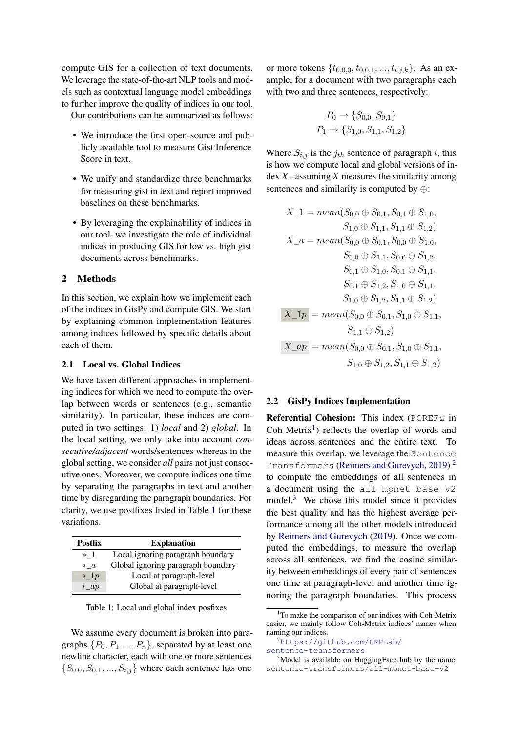compute GIS for a collection of text documents. We leverage the state-of-the-art NLP tools and models such as contextual language model embeddings to further improve the quality of indices in our tool.

Our contributions can be summarized as follows:

- We introduce the first open-source and publicly available tool to measure Gist Inference Score in text.
- We unify and standardize three benchmarks for measuring gist in text and report improved baselines on these benchmarks.
- By leveraging the explainability of indices in our tool, we investigate the role of individual indices in producing GIS for low vs. high gist documents across benchmarks.

### 2 Methods

In this section, we explain how we implement each of the indices in GisPy and compute GIS. We start by explaining common implementation features among indices followed by specific details about each of them.

#### 2.1 Local vs. Global Indices

We have taken different approaches in implementing indices for which we need to compute the overlap between words or sentences (e.g., semantic similarity). In particular, these indices are computed in two settings: 1) *local* and 2) *global*. In the local setting, we only take into account *consecutive/adjacent* words/sentences whereas in the global setting, we consider *all* pairs not just consecutive ones. Moreover, we compute indices one time by separating the paragraphs in text and another time by disregarding the paragraph boundaries. For clarity, we use postfixes listed in Table [1](#page-1-0) for these variations.

<span id="page-1-0"></span>

| <b>Postfix</b> | <b>Explanation</b>                 |
|----------------|------------------------------------|
| $*1$           | Local ignoring paragraph boundary  |
| $* a$          | Global ignoring paragraph boundary |
| $*_{1p}$       | Local at paragraph-level           |
| $*$ ap         | Global at paragraph-level          |

Table 1: Local and global index posfixes

We assume every document is broken into paragraphs  $\{P_0, P_1, ..., P_n\}$ , separated by at least one newline character, each with one or more sentences  ${S_{0,0}, S_{0,1}, ..., S_{i,j}}$  where each sentence has one

or more tokens  $\{t_{0,0,0}, t_{0,0,1}, ..., t_{i,j,k}\}$ . As an example, for a document with two paragraphs each with two and three sentences, respectively:

$$
P_0 \to \{S_{0,0}, S_{0,1}\}\
$$
  

$$
P_1 \to \{S_{1,0}, S_{1,1}, S_{1,2}\}\
$$

Where  $S_{i,j}$  is the  $j_{th}$  sentence of paragraph i, this is how we compute local and global versions of index *X* –assuming *X* measures the similarity among sentences and similarity is computed by ⊕:

$$
X_{-}1 = mean(S_{0,0} \oplus S_{0,1}, S_{0,1} \oplus S_{1,0},
$$
  
\n
$$
S_{1,0} \oplus S_{1,1}, S_{1,1} \oplus S_{1,2})
$$
  
\n
$$
X_{-}a = mean(S_{0,0} \oplus S_{0,1}, S_{0,0} \oplus S_{1,0},
$$
  
\n
$$
S_{0,0} \oplus S_{1,1}, S_{0,0} \oplus S_{1,2},
$$
  
\n
$$
S_{0,1} \oplus S_{1,0}, S_{0,1} \oplus S_{1,1},
$$
  
\n
$$
S_{0,1} \oplus S_{1,2}, S_{1,0} \oplus S_{1,1},
$$
  
\n
$$
S_{1,0} \oplus S_{1,2}, S_{1,1} \oplus S_{1,2})
$$
  
\n
$$
X_{-}1p = mean(S_{0,0} \oplus S_{0,1}, S_{1,0} \oplus S_{1,1},
$$
  
\n
$$
S_{1,1} \oplus S_{1,2})
$$
  
\n
$$
X_{-}ap = mean(S_{0,0} \oplus S_{0,1}, S_{1,0} \oplus S_{1,1},
$$
  
\n
$$
S_{1,0} \oplus S_{1,2}, S_{1,1} \oplus S_{1,2})
$$

#### 2.2 GisPy Indices Implementation

Referential Cohesion: This index (PCREFz in  $Coh-Metrix<sup>1</sup>$  $Coh-Metrix<sup>1</sup>$  $Coh-Metrix<sup>1</sup>$  reflects the overlap of words and ideas across sentences and the entire text. To measure this overlap, we leverage the Sentence Transformers [\(Reimers and Gurevych,](#page-8-13) [2019\)](#page-8-13)<sup>[2](#page-0-0)</sup> to compute the embeddings of all sentences in a document using the all-mpnet-base-v2 model.<sup>[3](#page-0-0)</sup> We chose this model since it provides the best quality and has the highest average performance among all the other models introduced by [Reimers and Gurevych](#page-8-13) [\(2019\)](#page-8-13). Once we computed the embeddings, to measure the overlap across all sentences, we find the cosine similarity between embeddings of every pair of sentences one time at paragraph-level and another time ignoring the paragraph boundaries. This process

 $1$ To make the comparison of our indices with Coh-Metrix easier, we mainly follow Coh-Metrix indices' names when naming our indices.

<sup>2</sup>[https://github.com/UKPLab/](https://github.com/UKPLab/sentence-transformers)

[sentence-transformers](https://github.com/UKPLab/sentence-transformers)  $3M$ odel is available on HuggingFace hub by the name:

sentence-transformers/all-mpnet-base-v2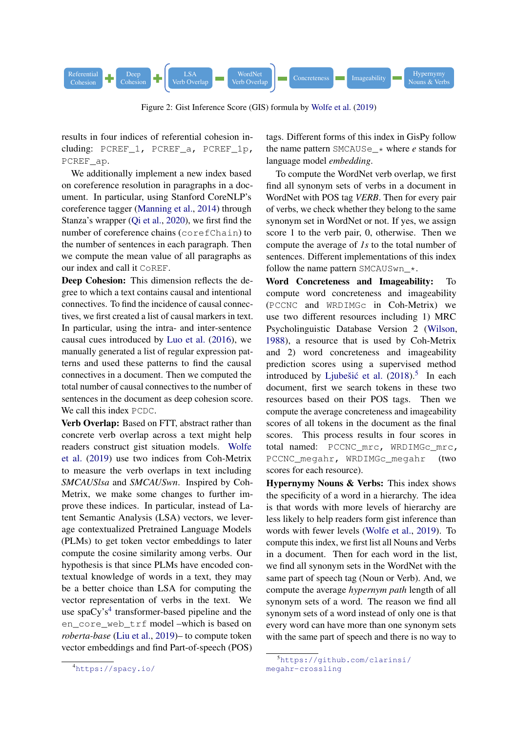<span id="page-2-0"></span>

Figure 2: Gist Inference Score (GIS) formula by [Wolfe et al.](#page-8-11) [\(2019\)](#page-8-11)

Referential sults 1r ndices erential c results in four indices of referential cohesion including: PCREF 1, PCREF a, PCREF 1p, PCREF\_ap.

We additionally implement a new index based on coreference resolution in paragraphs in a document. In particular, using Stanford CoreNLP's coreference tagger [\(Manning et al.,](#page-8-14) [2014\)](#page-8-14) through Stanza's wrapper [\(Qi et al.,](#page-8-15) [2020\)](#page-8-15), we first find the number of coreference chains (corefChain) to the number of sentences in each paragraph. Then we compute the mean value of all paragraphs as our index and call it CoREF.

Deep Cohesion: This dimension reflects the degree to which a text contains causal and intentional connectives. To find the incidence of causal connectives, we first created a list of causal markers in text. In particular, using the intra- and inter-sentence causal cues introduced by [Luo et al.](#page-8-16) [\(2016\)](#page-8-16), we manually generated a list of regular expression patterns and used these patterns to find the causal connectives in a document. Then we computed the total number of causal connectives to the number of sentences in the document as deep cohesion score. We call this index PCDC.

Verb Overlap: Based on FTT, abstract rather than concrete verb overlap across a text might help readers construct gist situation models. [Wolfe](#page-8-11) [et al.](#page-8-11) [\(2019\)](#page-8-11) use two indices from Coh-Metrix to measure the verb overlaps in text including *SMCAUSlsa* and *SMCAUSwn*. Inspired by Coh-Metrix, we make some changes to further improve these indices. In particular, instead of Latent Semantic Analysis (LSA) vectors, we leverage contextualized Pretrained Language Models (PLMs) to get token vector embeddings to later compute the cosine similarity among verbs. Our hypothesis is that since PLMs have encoded contextual knowledge of words in a text, they may be a better choice than LSA for computing the vector representation of verbs in the text. We use spaCy's<sup>[4](#page-0-0)</sup> transformer-based pipeline and the en\_core\_web\_trf model –which is based on *roberta-base* [\(Liu et al.,](#page-8-17) [2019\)](#page-8-17)– to compute token vector embeddings and find Part-of-speech (POS)

on in-<br>
tags. Different forms of this index in GisPy follow the name pattern SMCAUSe\_\* where *e* stands for language model *embedding*.

> To compute the WordNet verb overlap, we first find all synonym sets of verbs in a document in WordNet with POS tag *VERB*. Then for every pair of verbs, we check whether they belong to the same synonym set in WordNet or not. If yes, we assign score 1 to the verb pair, 0, otherwise. Then we compute the average of *1s* to the total number of sentences. Different implementations of this index follow the name pattern  $SMCAUSwn$ <sub>-</sub> $\star$ .

> Word Concreteness and Imageability: To compute word concreteness and imageability (PCCNC and WRDIMGc in Coh-Metrix) we use two different resources including 1) MRC Psycholinguistic Database Version 2 [\(Wilson,](#page-8-18) [1988\)](#page-8-18), a resource that is used by Coh-Metrix and 2) word concreteness and imageability prediction scores using a supervised method introduced by Ljubešić et al. [\(2018\)](#page-8-19).<sup>[5](#page-0-0)</sup> In each document, first we search tokens in these two resources based on their POS tags. Then we compute the average concreteness and imageability scores of all tokens in the document as the final scores. This process results in four scores in total named: PCCNC\_mrc, WRDIMGc\_mrc, PCCNC\_megahr, WRDIMGc\_megahr (two scores for each resource).

> Hypernymy Nouns & Verbs: This index shows the specificity of a word in a hierarchy. The idea is that words with more levels of hierarchy are less likely to help readers form gist inference than words with fewer levels [\(Wolfe et al.,](#page-8-11) [2019\)](#page-8-11). To compute this index, we first list all Nouns and Verbs in a document. Then for each word in the list, we find all synonym sets in the WordNet with the same part of speech tag (Noun or Verb). And, we compute the average *hypernym path* length of all synonym sets of a word. The reason we find all synonym sets of a word instead of only one is that every word can have more than one synonym sets with the same part of speech and there is no way to

<sup>4</sup><https://spacy.io/>

<sup>5</sup>[https://github.com/clarinsi/](https://github.com/clarinsi/megahr-crossling) [megahr-crossling](https://github.com/clarinsi/megahr-crossling)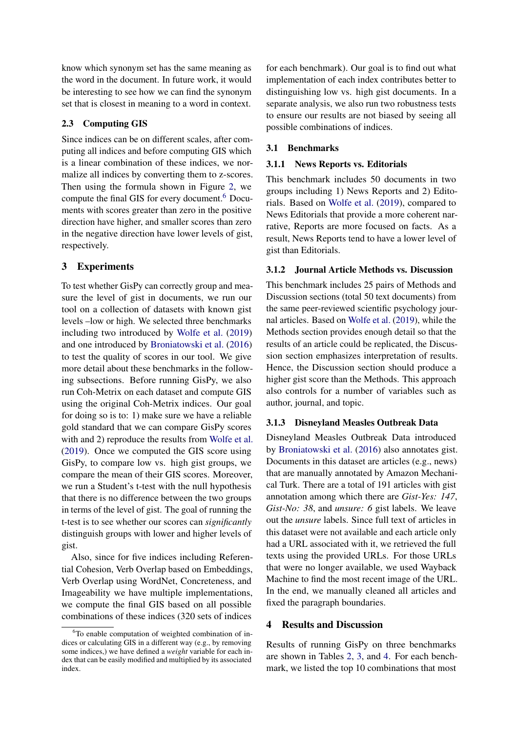know which synonym set has the same meaning as the word in the document. In future work, it would be interesting to see how we can find the synonym set that is closest in meaning to a word in context.

## 2.3 Computing GIS

Since indices can be on different scales, after computing all indices and before computing GIS which is a linear combination of these indices, we normalize all indices by converting them to z-scores. Then using the formula shown in Figure [2,](#page-2-0) we compute the final GIS for every document.[6](#page-0-0) Documents with scores greater than zero in the positive direction have higher, and smaller scores than zero in the negative direction have lower levels of gist, respectively.

## 3 Experiments

To test whether GisPy can correctly group and measure the level of gist in documents, we run our tool on a collection of datasets with known gist levels –low or high. We selected three benchmarks including two introduced by [Wolfe et al.](#page-8-11) [\(2019\)](#page-8-11) and one introduced by [Broniatowski et al.](#page-8-20) [\(2016\)](#page-8-20) to test the quality of scores in our tool. We give more detail about these benchmarks in the following subsections. Before running GisPy, we also run Coh-Metrix on each dataset and compute GIS using the original Coh-Metrix indices. Our goal for doing so is to: 1) make sure we have a reliable gold standard that we can compare GisPy scores with and 2) reproduce the results from [Wolfe et al.](#page-8-11) [\(2019\)](#page-8-11). Once we computed the GIS score using GisPy, to compare low vs. high gist groups, we compare the mean of their GIS scores. Moreover, we run a Student's t-test with the null hypothesis that there is no difference between the two groups in terms of the level of gist. The goal of running the t-test is to see whether our scores can *significantly* distinguish groups with lower and higher levels of gist.

Also, since for five indices including Referential Cohesion, Verb Overlap based on Embeddings, Verb Overlap using WordNet, Concreteness, and Imageability we have multiple implementations, we compute the final GIS based on all possible combinations of these indices (320 sets of indices

for each benchmark). Our goal is to find out what implementation of each index contributes better to distinguishing low vs. high gist documents. In a separate analysis, we also run two robustness tests to ensure our results are not biased by seeing all possible combinations of indices.

### 3.1 Benchmarks

### 3.1.1 News Reports vs. Editorials

This benchmark includes 50 documents in two groups including 1) News Reports and 2) Editorials. Based on [Wolfe et al.](#page-8-11) [\(2019\)](#page-8-11), compared to News Editorials that provide a more coherent narrative, Reports are more focused on facts. As a result, News Reports tend to have a lower level of gist than Editorials.

### 3.1.2 Journal Article Methods vs. Discussion

This benchmark includes 25 pairs of Methods and Discussion sections (total 50 text documents) from the same peer-reviewed scientific psychology journal articles. Based on [Wolfe et al.](#page-8-11) [\(2019\)](#page-8-11), while the Methods section provides enough detail so that the results of an article could be replicated, the Discussion section emphasizes interpretation of results. Hence, the Discussion section should produce a higher gist score than the Methods. This approach also controls for a number of variables such as author, journal, and topic.

### 3.1.3 Disneyland Measles Outbreak Data

Disneyland Measles Outbreak Data introduced by [Broniatowski et al.](#page-8-20) [\(2016\)](#page-8-20) also annotates gist. Documents in this dataset are articles (e.g., news) that are manually annotated by Amazon Mechanical Turk. There are a total of 191 articles with gist annotation among which there are *Gist-Yes: 147*, *Gist-No: 38*, and *unsure: 6* gist labels. We leave out the *unsure* labels. Since full text of articles in this dataset were not available and each article only had a URL associated with it, we retrieved the full texts using the provided URLs. For those URLs that were no longer available, we used Wayback Machine to find the most recent image of the URL. In the end, we manually cleaned all articles and fixed the paragraph boundaries.

#### 4 Results and Discussion

Results of running GisPy on three benchmarks are shown in Tables [2,](#page-5-0) [3,](#page-5-1) and [4.](#page-6-0) For each benchmark, we listed the top 10 combinations that most

 ${}^{6}$ To enable computation of weighted combination of indices or calculating GIS in a different way (e.g., by removing some indices,) we have defined a *weight* variable for each index that can be easily modified and multiplied by its associated index.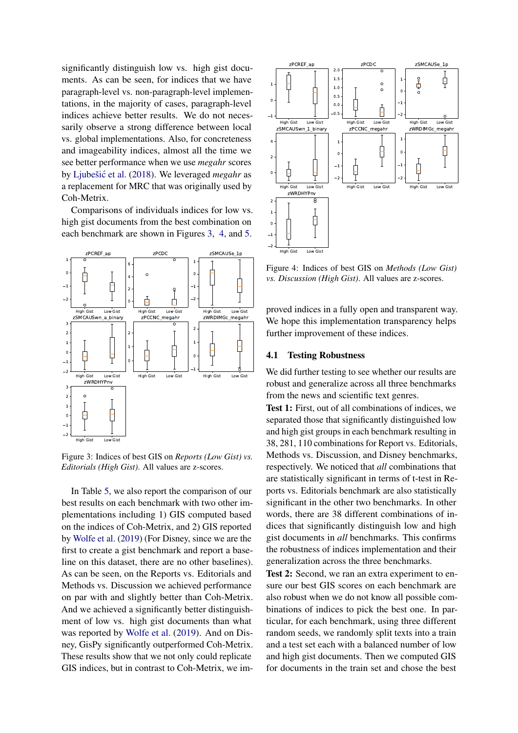significantly distinguish low vs. high gist documents. As can be seen, for indices that we have paragraph-level vs. non-paragraph-level implementations, in the majority of cases, paragraph-level indices achieve better results. We do not necessarily observe a strong difference between local vs. global implementations. Also, for concreteness and imageability indices, almost all the time we see better performance when we use *megahr* scores by Ljubešić et al. [\(2018\)](#page-8-19). We leveraged *megahr* as a replacement for MRC that was originally used by Coh-Metrix.

Comparisons of individuals indices for low vs. high gist documents from the best combination on each benchmark are shown in Figures [3,](#page-4-0) [4,](#page-4-1) and [5.](#page-5-2)

<span id="page-4-0"></span>

Figure 3: Indices of best GIS on *Reports (Low Gist) vs. Editorials (High Gist)*. All values are z-scores.

In Table [5,](#page-6-1) we also report the comparison of our best results on each benchmark with two other implementations including 1) GIS computed based on the indices of Coh-Metrix, and 2) GIS reported by [Wolfe et al.](#page-8-11) [\(2019\)](#page-8-11) (For Disney, since we are the first to create a gist benchmark and report a baseline on this dataset, there are no other baselines). As can be seen, on the Reports vs. Editorials and Methods vs. Discussion we achieved performance on par with and slightly better than Coh-Metrix. And we achieved a significantly better distinguishment of low vs. high gist documents than what was reported by [Wolfe et al.](#page-8-11) [\(2019\)](#page-8-11). And on Disney, GisPy significantly outperformed Coh-Metrix. These results show that we not only could replicate GIS indices, but in contrast to Coh-Metrix, we im-

<span id="page-4-1"></span>

Figure 4: Indices of best GIS on *Methods (Low Gist) vs. Discussion (High Gist)*. All values are z-scores.

proved indices in a fully open and transparent way. We hope this implementation transparency helps further improvement of these indices.

#### 4.1 Testing Robustness

We did further testing to see whether our results are robust and generalize across all three benchmarks from the news and scientific text genres.

Test 1: First, out of all combinations of indices, we separated those that significantly distinguished low and high gist groups in each benchmark resulting in 38, 281, 110 combinations for Report vs. Editorials, Methods vs. Discussion, and Disney benchmarks, respectively. We noticed that *all* combinations that are statistically significant in terms of t-test in Reports vs. Editorials benchmark are also statistically significant in the other two benchmarks. In other words, there are 38 different combinations of indices that significantly distinguish low and high gist documents in *all* benchmarks. This confirms the robustness of indices implementation and their generalization across the three benchmarks.

Test 2: Second, we ran an extra experiment to ensure our best GIS scores on each benchmark are also robust when we do not know all possible combinations of indices to pick the best one. In particular, for each benchmark, using three different random seeds, we randomly split texts into a train and a test set each with a balanced number of low and high gist documents. Then we computed GIS for documents in the train set and chose the best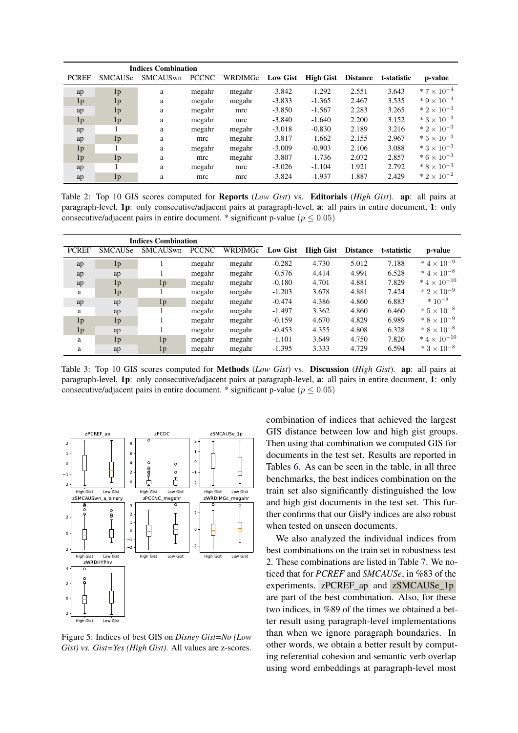<span id="page-5-0"></span>

|                |                | <b>Indices Combination</b> |              |         |                 |                  |                 |             |                               |
|----------------|----------------|----------------------------|--------------|---------|-----------------|------------------|-----------------|-------------|-------------------------------|
| <b>PCREF</b>   | <b>SMCAUSe</b> | <b>SMCAUS</b> wn           | <b>PCCNC</b> | WRDIMGc | <b>Low Gist</b> | <b>High Gist</b> | <b>Distance</b> | t-statistic | p-value                       |
| ap             | 1p             | a                          | megahr       | megahr  | $-3.842$        | $-1.292$         | 2.551           | 3.643       | $* 7 \times 10^{-4}$          |
| 1 <sub>p</sub> | 1 <sub>p</sub> | a                          | megahr       | megahr  | $-3.833$        | $-1.365$         | 2.467           | 3.535       | $*9 \times 10^{-4}$           |
| ap             | 1 <sub>p</sub> | a                          | megahr       | mrc     | $-3.850$        | $-1.567$         | 2.283           | 3.265       | $* 2 \times 10^{-3}$          |
| 1 <sub>p</sub> | 1 <sub>p</sub> | a                          | megahr       | mrc     | $-3.840$        | $-1.640$         | 2.200           | 3.152       | $*3 \times 10^{-3}$           |
| ap             |                | a                          | megahr       | megahr  | $-3.018$        | $-0.830$         | 2.189           | 3.216       | $* 2 \times 10^{-3}$          |
| ap             | 1 <sub>p</sub> | a                          | mrc          | megahr  | $-3.817$        | $-1.662$         | 2.155           | 2.967       | $*5 \times 10^{-3}$           |
| 1 <sub>p</sub> |                | a                          | megahr       | megahr  | $-3.009$        | $-0.903$         | 2.106           | 3.088       | $*3 \times 10^{-3}$           |
| 1 <sub>p</sub> | 1 <sub>p</sub> | a                          | mrc          | megahr  | $-3.807$        | $-1.736$         | 2.072           | 2.857       | * 6 $\times$ 10 <sup>-3</sup> |
| ap             |                | a                          | megahr       | mrc     | $-3.026$        | $-1.104$         | 1.921           | 2.792       | $* 8 \times 10^{-3}$          |
| ap             | 1 <sub>p</sub> | a                          | mrc          | mrc     | $-3.824$        | $-1.937$         | 1.887           | 2.429       | $* 2 \times 10^{-2}$          |

Table 2: Top 10 GIS scores computed for Reports (*Low Gist*) vs. Editorials (*High Gist*). ap: all pairs at paragraph-level, 1p: only consecutive/adjacent pairs at paragraph-level, a: all pairs in entire document, 1: only consecutive/adjacent pairs in entire document. \* significant p-value ( $p \le 0.05$ )

<span id="page-5-1"></span>

|                |                | <b>Indices Combination</b> |              |         |                 |                  |                 |             |                       |
|----------------|----------------|----------------------------|--------------|---------|-----------------|------------------|-----------------|-------------|-----------------------|
| <b>PCREF</b>   | <b>SMCAUSe</b> | <b>SMCAUS</b> wn           | <b>PCCNC</b> | WRDIMGc | <b>Low Gist</b> | <b>High Gist</b> | <b>Distance</b> | t-statistic | p-value               |
| ap             | 1 <sub>p</sub> |                            | megahr       | megahr  | $-0.282$        | 4.730            | 5.012           | 7.188       | * $4 \times 10^{-9}$  |
| ap             | ap             |                            | megahr       | megahr  | $-0.576$        | 4.414            | 4.991           | 6.528       | * $4 \times 10^{-8}$  |
| ap             | 1 <sub>p</sub> | 1 <sub>p</sub>             | megahr       | megahr  | $-0.180$        | 4.701            | 4.881           | 7.829       | * $4 \times 10^{-10}$ |
| a              | 1 <sub>p</sub> |                            | megahr       | megahr  | $-1.203$        | 3.678            | 4.881           | 7.424       | * $2 \times 10^{-9}$  |
| ap             | ap             | 1 <sub>p</sub>             | megahr       | megahr  | $-0.474$        | 4.386            | 4.860           | 6.883       | $*10^{-8}$            |
| a              | ap             |                            | megahr       | megahr  | $-1.497$        | 3.362            | 4.860           | 6.460       | $* 5 \times 10^{-8}$  |
| 1 <sub>p</sub> | 1 <sub>p</sub> |                            | megahr       | megahr  | $-0.159$        | 4.670            | 4.829           | 6.989       | $* 8 \times 10^{-9}$  |
| 1 <sub>p</sub> | ap             |                            | megahr       | megahr  | $-0.453$        | 4.355            | 4.808           | 6.328       | $* 8 \times 10^{-8}$  |
| a              | 1 <sub>p</sub> | 1 <sub>p</sub>             | megahr       | megahr  | $-1.101$        | 3.649            | 4.750           | 7.820       | * $4 \times 10^{-10}$ |
| a              | ap             | 1 <sub>p</sub>             | megahr       | megahr  | $-1.395$        | 3.333            | 4.729           | 6.594       | $*3 \times 10^{-8}$   |

Table 3: Top 10 GIS scores computed for Methods (*Low Gist*) vs. Discussion (*High Gist*). ap: all pairs at paragraph-level, 1p: only consecutive/adjacent pairs at paragraph-level, a: all pairs in entire document, 1: only consecutive/adjacent pairs in entire document. \* significant p-value ( $p \leq 0.05$ )

<span id="page-5-2"></span>

Figure 5: Indices of best GIS on *Disney Gist=No (Low Gist) vs. Gist=Yes (High Gist)*. All values are z-scores.

combination of indices that achieved the largest GIS distance between low and high gist groups. Then using that combination we computed GIS for documents in the test set. Results are reported in Tables [6.](#page-7-0) As can be seen in the table, in all three benchmarks, the best indices combination on the train set also significantly distinguished the low and high gist documents in the test set. This further confirms that our GisPy indices are also robust when tested on unseen documents.

We also analyzed the individual indices from best combinations on the train set in robustness test 2. These combinations are listed in Table [7.](#page-7-1) We noticed that for *PCREF* and *SMCAUSe*, in %83 of the experiments, zPCREF\_ap and zSMCAUSe\_1p are part of the best combination. Also, for these two indices, in %89 of the times we obtained a better result using paragraph-level implementations than when we ignore paragraph boundaries. In other words, we obtain a better result by computing referential cohesion and semantic verb overlap using word embeddings at paragraph-level most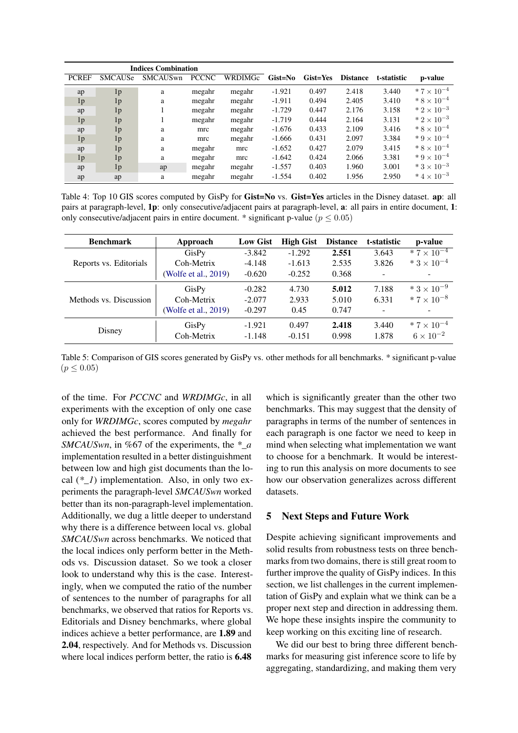<span id="page-6-0"></span>

| <b>Indices Combination</b> |                |                             |              |                |             |          |                 |             |                      |
|----------------------------|----------------|-----------------------------|--------------|----------------|-------------|----------|-----------------|-------------|----------------------|
| <b>PCREF</b>               | <b>SMCAUSe</b> | <b>SMCAUS</b> <sub>wn</sub> | <b>PCCNC</b> | <b>WRDIMGC</b> | $Gist = No$ | Gist=Yes | <b>Distance</b> | t-statistic | p-value              |
| ap                         | 1p             | a                           | megahr       | megahr         | $-1.921$    | 0.497    | 2.418           | 3.440       | $* 7 \times 10^{-4}$ |
| 1 <sub>p</sub>             | 1 <sub>p</sub> | a                           | megahr       | megahr         | $-1.911$    | 0.494    | 2.405           | 3.410       | $* 8 \times 10^{-4}$ |
| ap                         | 1 <sub>p</sub> |                             | megahr       | megahr         | $-1.729$    | 0.447    | 2.176           | 3.158       | $* 2 \times 10^{-3}$ |
| 1 <sub>p</sub>             | 1 <sub>p</sub> |                             | megahr       | megahr         | $-1.719$    | 0.444    | 2.164           | 3.131       | $* 2 \times 10^{-3}$ |
| ap                         | 1 <sub>p</sub> | a                           | mrc          | megahr         | $-1.676$    | 0.433    | 2.109           | 3.416       | $* 8 \times 10^{-4}$ |
| 1 <sub>p</sub>             | 1 <sub>p</sub> | a                           | mrc          | megahr         | $-1.666$    | 0.431    | 2.097           | 3.384       | $*9 \times 10^{-4}$  |
| ap                         | 1p             | a                           | megahr       | mrc            | $-1.652$    | 0.427    | 2.079           | 3.415       | $* 8 \times 10^{-4}$ |
| 1 <sub>p</sub>             | 1p             | a                           | megahr       | mrc            | $-1.642$    | 0.424    | 2.066           | 3.381       | $*9 \times 10^{-4}$  |
| ap                         | 1 <sub>p</sub> | ap                          | megahr       | megahr         | $-1.557$    | 0.403    | 1.960           | 3.001       | $*3 \times 10^{-3}$  |
| ap                         | ap             | a                           | megahr       | megahr         | $-1.554$    | 0.402    | 1.956           | 2.950       | * $4 \times 10^{-3}$ |

Table 4: Top 10 GIS scores computed by GisPy for Gist=No vs. Gist=Yes articles in the Disney dataset. ap: all pairs at paragraph-level, 1p: only consecutive/adjacent pairs at paragraph-level, a: all pairs in entire document, 1: only consecutive/adjacent pairs in entire document. \* significant p-value ( $p \leq 0.05$ )

<span id="page-6-1"></span>

| <b>Benchmark</b>       | Approach                     | <b>Low Gist</b>      | <b>High Gist</b>  | <b>Distance</b> | t-statistic    | p-value                                    |
|------------------------|------------------------------|----------------------|-------------------|-----------------|----------------|--------------------------------------------|
|                        | $\frac{1}{10}$               | $-3.842$             | $-1.292$          | 2.551           | 3.643          | * $7 \times 10^{-4}$                       |
| Reports vs. Editorials | Coh-Metrix                   | $-4.148$             | $-1.613$          | 2.535           | 3.826          | $*3 \times 10^{-4}$                        |
|                        | (Wolfe et al., 2019)         | $-0.620$             | $-0.252$          | 0.368           |                |                                            |
|                        | $\frac{1}{10}$               | $-0.282$             | 4.730             | 5.012           | 7.188          | $*3 \times 10^{-9}$                        |
| Methods vs. Discussion | Coh-Metrix                   | $-2.077$             | 2.933             | 5.010           | 6.331          | * $7 \times 10^{-8}$                       |
|                        | (Wolfe et al., 2019)         | $-0.297$             | 0.45              | 0.747           |                |                                            |
| Disney                 | $\frac{1}{10}$<br>Coh-Metrix | $-1.921$<br>$-1.148$ | 0.497<br>$-0.151$ | 2.418<br>0.998  | 3.440<br>1.878 | * $7 \times 10^{-4}$<br>$6 \times 10^{-2}$ |

Table 5: Comparison of GIS scores generated by GisPy vs. other methods for all benchmarks. \* significant p-value  $(p \le 0.05)$ 

of the time. For *PCCNC* and *WRDIMGc*, in all experiments with the exception of only one case only for *WRDIMGc*, scores computed by *megahr* achieved the best performance. And finally for *SMCAUSwn*, in %67 of the experiments, the *\*\_a* implementation resulted in a better distinguishment between low and high gist documents than the local (*\*\_1*) implementation. Also, in only two experiments the paragraph-level *SMCAUSwn* worked better than its non-paragraph-level implementation. Additionally, we dug a little deeper to understand why there is a difference between local vs. global *SMCAUSwn* across benchmarks. We noticed that the local indices only perform better in the Methods vs. Discussion dataset. So we took a closer look to understand why this is the case. Interestingly, when we computed the ratio of the number of sentences to the number of paragraphs for all benchmarks, we observed that ratios for Reports vs. Editorials and Disney benchmarks, where global indices achieve a better performance, are 1.89 and 2.04, respectively. And for Methods vs. Discussion where local indices perform better, the ratio is 6.48

which is significantly greater than the other two benchmarks. This may suggest that the density of paragraphs in terms of the number of sentences in each paragraph is one factor we need to keep in mind when selecting what implementation we want to choose for a benchmark. It would be interesting to run this analysis on more documents to see how our observation generalizes across different datasets.

## 5 Next Steps and Future Work

Despite achieving significant improvements and solid results from robustness tests on three benchmarks from two domains, there is still great room to further improve the quality of GisPy indices. In this section, we list challenges in the current implementation of GisPy and explain what we think can be a proper next step and direction in addressing them. We hope these insights inspire the community to keep working on this exciting line of research.

We did our best to bring three different benchmarks for measuring gist inference score to life by aggregating, standardizing, and making them very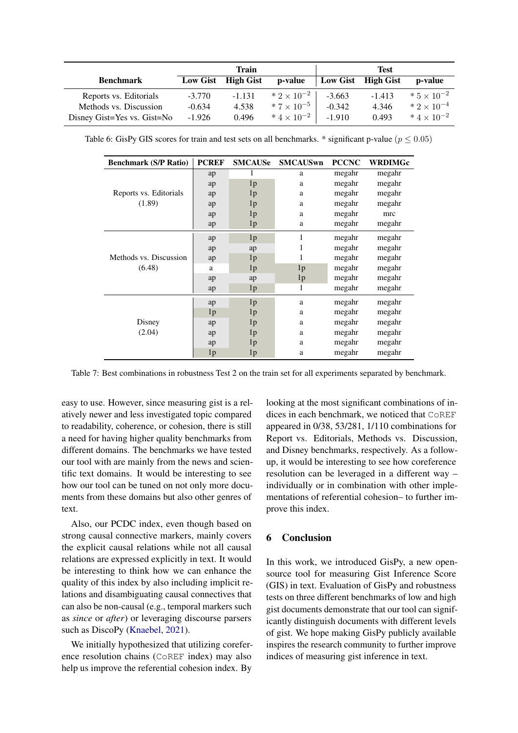<span id="page-7-0"></span>

|                             |          | Train              |                      |          | Test      |                               |
|-----------------------------|----------|--------------------|----------------------|----------|-----------|-------------------------------|
| <b>Benchmark</b>            |          | Low Gist High Gist | p-value              | Low Gist | High Gist | p-value                       |
| Reports vs. Editorials      | $-3.770$ | $-1.131$           | $* 2 \times 10^{-2}$ | $-3.663$ | $-1.413$  | $*5 \times 10^{-2}$           |
| Methods vs. Discussion      | $-0.634$ | 4.538              | $* 7 \times 10^{-5}$ | $-0.342$ | 4.346     | $* 2 \times 10^{-4}$          |
| Disney Gist=Yes vs. Gist=No | $-1.926$ | 0.496              | * $4 \times 10^{-2}$ | -1.910   | 0.493     | * 4 $\times$ 10 <sup>-2</sup> |

<span id="page-7-1"></span>Table 6: GisPy GIS scores for train and test sets on all benchmarks. \* significant p-value ( $p \le 0.05$ )

| <b>Benchmark (S/P Ratio)</b> | <b>PCREF</b>   | <b>SMCAUSe</b> | <b>SMCAUSwn</b> | <b>PCCNC</b> | <b>WRDIMGc</b> |
|------------------------------|----------------|----------------|-----------------|--------------|----------------|
|                              | ap             | 1              | a               | megahr       | megahr         |
|                              | ap             | 1 <sub>p</sub> | a               | megahr       | megahr         |
| Reports vs. Editorials       | ap             | 1 <sub>p</sub> | a               | megahr       | megahr         |
| (1.89)                       | ap             | 1 <sub>p</sub> | a               | megahr       | megahr         |
|                              | ap             | 1 <sub>p</sub> | a               | megahr       | mrc            |
|                              | ap             | 1 <sub>p</sub> | a               | megahr       | megahr         |
|                              | ap             | 1 <sub>p</sub> | $\mathbf{1}$    | megahr       | megahr         |
|                              | ap             | ap             | 1               | megahr       | megahr         |
| Methods vs. Discussion       | ap             | 1 <sub>p</sub> | 1               | megahr       | megahr         |
| (6.48)                       | a              | 1 <sub>p</sub> | 1 <sub>p</sub>  | megahr       | megahr         |
|                              | ap             | ap             | 1 <sub>p</sub>  | megahr       | megahr         |
|                              | ap             | 1 <sub>p</sub> | 1               | megahr       | megahr         |
|                              | ap             | 1 <sub>p</sub> | a               | megahr       | megahr         |
|                              | 1 <sub>p</sub> | 1 <sub>p</sub> | a               | megahr       | megahr         |
| Disney                       | ap             | 1 <sub>p</sub> | a               | megahr       | megahr         |
| (2.04)                       | ap             | 1 <sub>p</sub> | a               | megahr       | megahr         |
|                              | ap             | 1 <sub>p</sub> | a               | megahr       | megahr         |
|                              | 1 <sub>p</sub> | 1 <sub>p</sub> | a               | megahr       | megahr         |

Table 7: Best combinations in robustness Test 2 on the train set for all experiments separated by benchmark.

easy to use. However, since measuring gist is a relatively newer and less investigated topic compared to readability, coherence, or cohesion, there is still a need for having higher quality benchmarks from different domains. The benchmarks we have tested our tool with are mainly from the news and scientific text domains. It would be interesting to see how our tool can be tuned on not only more documents from these domains but also other genres of text.

Also, our PCDC index, even though based on strong causal connective markers, mainly covers the explicit causal relations while not all causal relations are expressed explicitly in text. It would be interesting to think how we can enhance the quality of this index by also including implicit relations and disambiguating causal connectives that can also be non-causal (e.g., temporal markers such as *since* or *after*) or leveraging discourse parsers such as DiscoPy [\(Knaebel,](#page-8-21) [2021\)](#page-8-21).

We initially hypothesized that utilizing coreference resolution chains (CoREF index) may also help us improve the referential cohesion index. By

looking at the most significant combinations of indices in each benchmark, we noticed that CoREF appeared in 0/38, 53/281, 1/110 combinations for Report vs. Editorials, Methods vs. Discussion, and Disney benchmarks, respectively. As a followup, it would be interesting to see how coreference resolution can be leveraged in a different way – individually or in combination with other implementations of referential cohesion– to further improve this index.

## 6 Conclusion

In this work, we introduced GisPy, a new opensource tool for measuring Gist Inference Score (GIS) in text. Evaluation of GisPy and robustness tests on three different benchmarks of low and high gist documents demonstrate that our tool can significantly distinguish documents with different levels of gist. We hope making GisPy publicly available inspires the research community to further improve indices of measuring gist inference in text.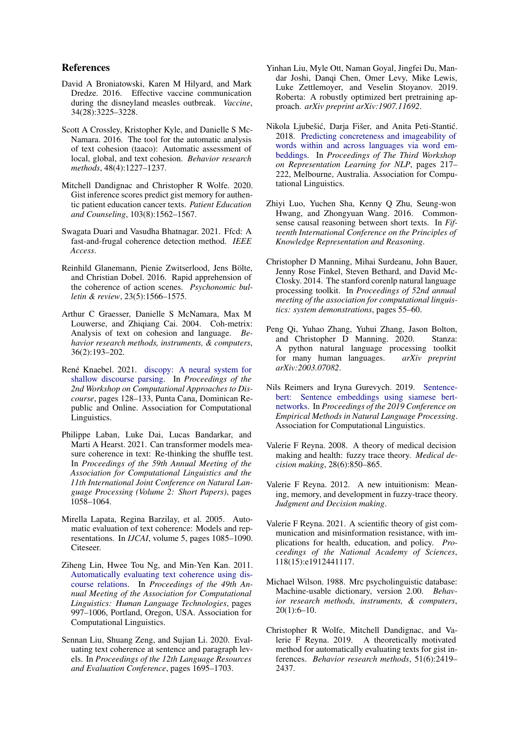## References

- <span id="page-8-20"></span>David A Broniatowski, Karen M Hilyard, and Mark Dredze. 2016. Effective vaccine communication during the disneyland measles outbreak. *Vaccine*, 34(28):3225–3228.
- <span id="page-8-6"></span>Scott A Crossley, Kristopher Kyle, and Danielle S Mc-Namara. 2016. The tool for the automatic analysis of text cohesion (taaco): Automatic assessment of local, global, and text cohesion. *Behavior research methods*, 48(4):1227–1237.
- <span id="page-8-12"></span>Mitchell Dandignac and Christopher R Wolfe. 2020. Gist inference scores predict gist memory for authentic patient education cancer texts. *Patient Education and Counseling*, 103(8):1562–1567.
- <span id="page-8-9"></span>Swagata Duari and Vasudha Bhatnagar. 2021. Ffcd: A fast-and-frugal coherence detection method. *IEEE Access*.
- <span id="page-8-10"></span>Reinhild Glanemann, Pienie Zwitserlood, Jens Bölte, and Christian Dobel. 2016. Rapid apprehension of the coherence of action scenes. *Psychonomic bulletin & review*, 23(5):1566–1575.
- <span id="page-8-3"></span>Arthur C Graesser, Danielle S McNamara, Max M Louwerse, and Zhiqiang Cai. 2004. Coh-metrix: Analysis of text on cohesion and language. *Behavior research methods, instruments, & computers*, 36(2):193–202.
- <span id="page-8-21"></span>René Knaebel. 2021. [discopy: A neural system for](https://doi.org/10.18653/v1/2021.codi-main.12) [shallow discourse parsing.](https://doi.org/10.18653/v1/2021.codi-main.12) In *Proceedings of the 2nd Workshop on Computational Approaches to Discourse*, pages 128–133, Punta Cana, Dominican Republic and Online. Association for Computational Linguistics.
- <span id="page-8-8"></span>Philippe Laban, Luke Dai, Lucas Bandarkar, and Marti A Hearst. 2021. Can transformer models measure coherence in text: Re-thinking the shuffle test. In *Proceedings of the 59th Annual Meeting of the Association for Computational Linguistics and the 11th International Joint Conference on Natural Language Processing (Volume 2: Short Papers)*, pages 1058–1064.
- <span id="page-8-4"></span>Mirella Lapata, Regina Barzilay, et al. 2005. Automatic evaluation of text coherence: Models and representations. In *IJCAI*, volume 5, pages 1085–1090. Citeseer.
- <span id="page-8-5"></span>Ziheng Lin, Hwee Tou Ng, and Min-Yen Kan. 2011. [Automatically evaluating text coherence using dis](https://aclanthology.org/P11-1100)[course relations.](https://aclanthology.org/P11-1100) In *Proceedings of the 49th Annual Meeting of the Association for Computational Linguistics: Human Language Technologies*, pages 997–1006, Portland, Oregon, USA. Association for Computational Linguistics.
- <span id="page-8-7"></span>Sennan Liu, Shuang Zeng, and Sujian Li. 2020. Evaluating text coherence at sentence and paragraph levels. In *Proceedings of the 12th Language Resources and Evaluation Conference*, pages 1695–1703.
- <span id="page-8-17"></span>Yinhan Liu, Myle Ott, Naman Goyal, Jingfei Du, Mandar Joshi, Danqi Chen, Omer Levy, Mike Lewis, Luke Zettlemoyer, and Veselin Stoyanov. 2019. Roberta: A robustly optimized bert pretraining approach. *arXiv preprint arXiv:1907.11692*.
- <span id="page-8-19"></span>Nikola Ljubešić, Darja Fišer, and Anita Peti-Stantić. 2018. [Predicting concreteness and imageability of](https://doi.org/10.18653/v1/W18-3028) [words within and across languages via word em](https://doi.org/10.18653/v1/W18-3028)[beddings.](https://doi.org/10.18653/v1/W18-3028) In *Proceedings of The Third Workshop on Representation Learning for NLP*, pages 217– 222, Melbourne, Australia. Association for Computational Linguistics.
- <span id="page-8-16"></span>Zhiyi Luo, Yuchen Sha, Kenny Q Zhu, Seung-won Hwang, and Zhongyuan Wang. 2016. Commonsense causal reasoning between short texts. In *Fifteenth International Conference on the Principles of Knowledge Representation and Reasoning*.
- <span id="page-8-14"></span>Christopher D Manning, Mihai Surdeanu, John Bauer, Jenny Rose Finkel, Steven Bethard, and David Mc-Closky. 2014. The stanford corenlp natural language processing toolkit. In *Proceedings of 52nd annual meeting of the association for computational linguistics: system demonstrations*, pages 55–60.
- <span id="page-8-15"></span>Peng Qi, Yuhao Zhang, Yuhui Zhang, Jason Bolton, and Christopher D Manning. 2020. Stanza: A python natural language processing toolkit for many human languages. *arXiv preprint arXiv:2003.07082*.
- <span id="page-8-13"></span>Nils Reimers and Iryna Gurevych. 2019. [Sentence](https://arxiv.org/abs/1908.10084)[bert: Sentence embeddings using siamese bert](https://arxiv.org/abs/1908.10084)[networks.](https://arxiv.org/abs/1908.10084) In *Proceedings of the 2019 Conference on Empirical Methods in Natural Language Processing*. Association for Computational Linguistics.
- <span id="page-8-0"></span>Valerie F Reyna. 2008. A theory of medical decision making and health: fuzzy trace theory. *Medical decision making*, 28(6):850–865.
- <span id="page-8-1"></span>Valerie F Reyna. 2012. A new intuitionism: Meaning, memory, and development in fuzzy-trace theory. *Judgment and Decision making*.
- <span id="page-8-2"></span>Valerie F Reyna. 2021. A scientific theory of gist communication and misinformation resistance, with implications for health, education, and policy. *Proceedings of the National Academy of Sciences*, 118(15):e1912441117.
- <span id="page-8-18"></span>Michael Wilson. 1988. Mrc psycholinguistic database: Machine-usable dictionary, version 2.00. *Behavior research methods, instruments, & computers*, 20(1):6–10.
- <span id="page-8-11"></span>Christopher R Wolfe, Mitchell Dandignac, and Valerie F Reyna. 2019. A theoretically motivated method for automatically evaluating texts for gist inferences. *Behavior research methods*, 51(6):2419– 2437.